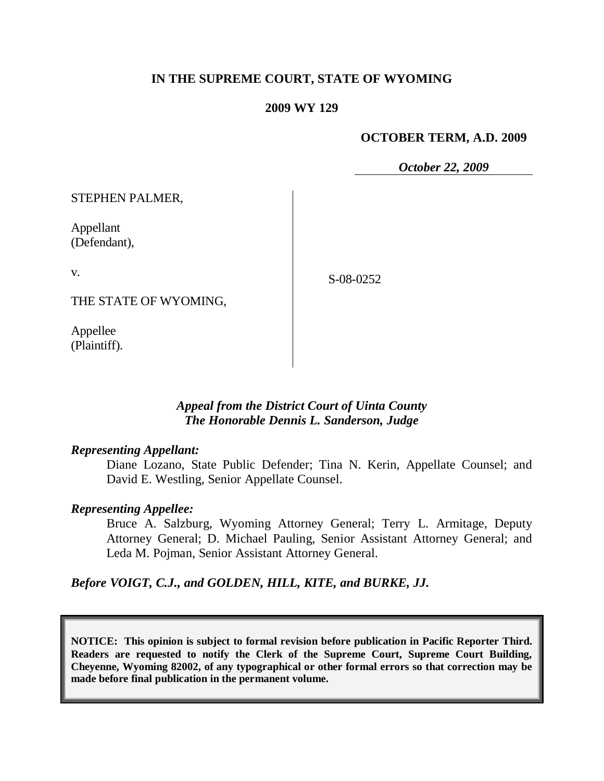# **IN THE SUPREME COURT, STATE OF WYOMING**

## **2009 WY 129**

## **OCTOBER TERM, A.D. 2009**

*October 22, 2009*

STEPHEN PALMER,

Appellant (Defendant),

v.

S-08-0252

THE STATE OF WYOMING,

Appellee (Plaintiff).

# *Appeal from the District Court of Uinta County The Honorable Dennis L. Sanderson, Judge*

## *Representing Appellant:*

Diane Lozano, State Public Defender; Tina N. Kerin, Appellate Counsel; and David E. Westling, Senior Appellate Counsel.

## *Representing Appellee:*

Bruce A. Salzburg, Wyoming Attorney General; Terry L. Armitage, Deputy Attorney General; D. Michael Pauling, Senior Assistant Attorney General; and Leda M. Pojman, Senior Assistant Attorney General.

*Before VOIGT, C.J., and GOLDEN, HILL, KITE, and BURKE, JJ.*

**NOTICE: This opinion is subject to formal revision before publication in Pacific Reporter Third. Readers are requested to notify the Clerk of the Supreme Court, Supreme Court Building, Cheyenne, Wyoming 82002, of any typographical or other formal errors so that correction may be made before final publication in the permanent volume.**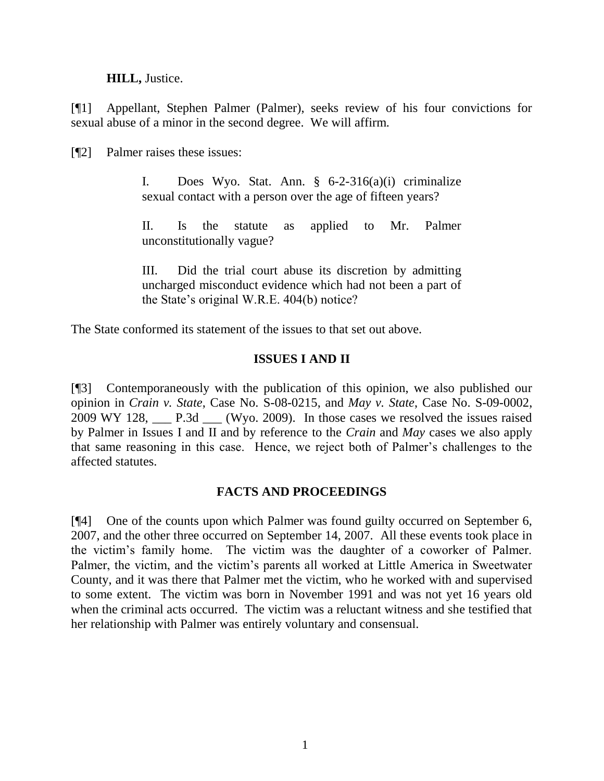**HILL,** Justice.

[¶1] Appellant, Stephen Palmer (Palmer), seeks review of his four convictions for sexual abuse of a minor in the second degree. We will affirm.

[¶2] Palmer raises these issues:

I. Does Wyo. Stat. Ann.  $\S$  6-2-316(a)(i) criminalize sexual contact with a person over the age of fifteen years?

II. Is the statute as applied to Mr. Palmer unconstitutionally vague?

III. Did the trial court abuse its discretion by admitting uncharged misconduct evidence which had not been a part of the State's original W.R.E. 404(b) notice?

The State conformed its statement of the issues to that set out above.

# **ISSUES I AND II**

[¶3] Contemporaneously with the publication of this opinion, we also published our opinion in *Crain v. State*, Case No. S-08-0215, and *May v. State*, Case No. S-09-0002, 2009 WY 128, \_\_\_ P.3d \_\_\_ (Wyo. 2009). In those cases we resolved the issues raised by Palmer in Issues I and II and by reference to the *Crain* and *May* cases we also apply that same reasoning in this case. Hence, we reject both of Palmer's challenges to the affected statutes.

# **FACTS AND PROCEEDINGS**

[¶4] One of the counts upon which Palmer was found guilty occurred on September 6, 2007, and the other three occurred on September 14, 2007. All these events took place in the victim's family home. The victim was the daughter of a coworker of Palmer. Palmer, the victim, and the victim's parents all worked at Little America in Sweetwater County, and it was there that Palmer met the victim, who he worked with and supervised to some extent. The victim was born in November 1991 and was not yet 16 years old when the criminal acts occurred. The victim was a reluctant witness and she testified that her relationship with Palmer was entirely voluntary and consensual.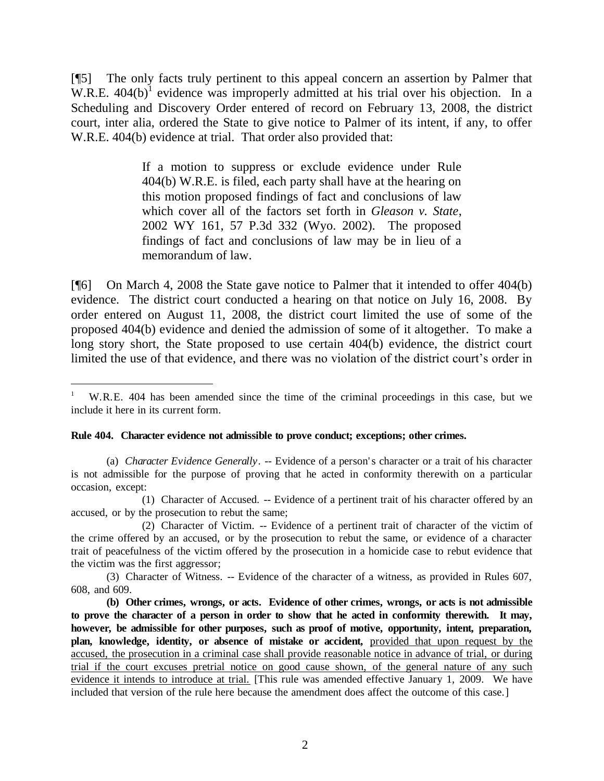[¶5] The only facts truly pertinent to this appeal concern an assertion by Palmer that W.R.E.  $404(b)^{1}$  evidence was improperly admitted at his trial over his objection. In a Scheduling and Discovery Order entered of record on February 13, 2008, the district court, inter alia, ordered the State to give notice to Palmer of its intent, if any, to offer W.R.E. 404(b) evidence at trial. That order also provided that:

> If a motion to suppress or exclude evidence under Rule 404(b) W.R.E. is filed, each party shall have at the hearing on this motion proposed findings of fact and conclusions of law which cover all of the factors set forth in *Gleason v. State*, 2002 WY 161, 57 P.3d 332 (Wyo. 2002). The proposed findings of fact and conclusions of law may be in lieu of a memorandum of law.

[¶6] On March 4, 2008 the State gave notice to Palmer that it intended to offer 404(b) evidence. The district court conducted a hearing on that notice on July 16, 2008. By order entered on August 11, 2008, the district court limited the use of some of the proposed 404(b) evidence and denied the admission of some of it altogether. To make a long story short, the State proposed to use certain 404(b) evidence, the district court limited the use of that evidence, and there was no violation of the district court's order in

#### **Rule 404. Character evidence not admissible to prove conduct; exceptions; other crimes.**

 $\overline{a}$ 

(1) Character of Accused. -- Evidence of a pertinent trait of his character offered by an accused, or by the prosecution to rebut the same;

<sup>1</sup> W.R.E. 404 has been amended since the time of the criminal proceedings in this case, but we include it here in its current form.

<sup>(</sup>a) *Character Evidence Generally*. -- Evidence of a person' s character or a trait of his character is not admissible for the purpose of proving that he acted in conformity therewith on a particular occasion, except:

<sup>(2)</sup> Character of Victim. -- Evidence of a pertinent trait of character of the victim of the crime offered by an accused, or by the prosecution to rebut the same, or evidence of a character trait of peacefulness of the victim offered by the prosecution in a homicide case to rebut evidence that the victim was the first aggressor;

<sup>(3)</sup> Character of Witness. -- Evidence of the character of a witness, as provided in Rules 607, 608, and 609.

**<sup>(</sup>b) Other crimes, wrongs, or acts. Evidence of other crimes, wrongs, or acts is not admissible to prove the character of a person in order to show that he acted in conformity therewith. It may, however, be admissible for other purposes, such as proof of motive, opportunity, intent, preparation, plan, knowledge, identity, or absence of mistake or accident,** provided that upon request by the accused, the prosecution in a criminal case shall provide reasonable notice in advance of trial, or during trial if the court excuses pretrial notice on good cause shown, of the general nature of any such evidence it intends to introduce at trial. [This rule was amended effective January 1, 2009. We have included that version of the rule here because the amendment does affect the outcome of this case.]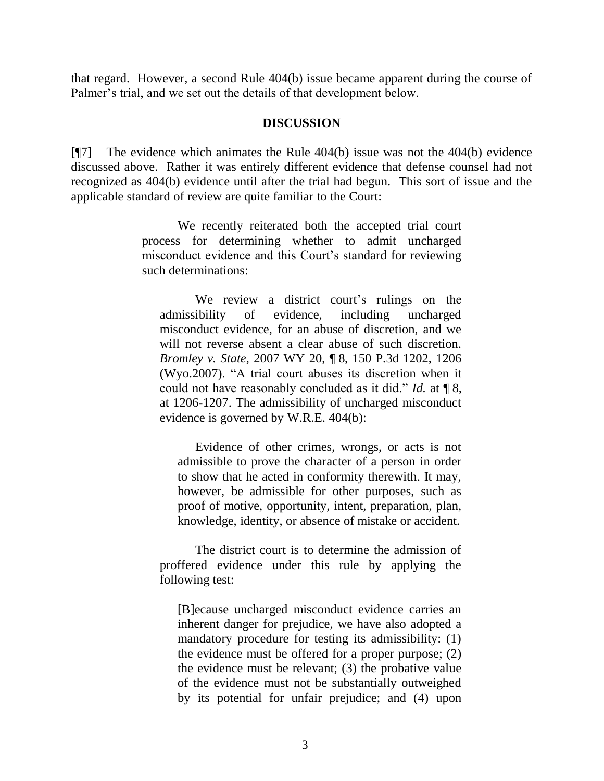that regard. However, a second Rule 404(b) issue became apparent during the course of Palmer's trial, and we set out the details of that development below.

### **DISCUSSION**

[¶7] The evidence which animates the Rule 404(b) issue was not the 404(b) evidence discussed above. Rather it was entirely different evidence that defense counsel had not recognized as 404(b) evidence until after the trial had begun. This sort of issue and the applicable standard of review are quite familiar to the Court:

> We recently reiterated both the accepted trial court process for determining whether to admit uncharged misconduct evidence and this Court's standard for reviewing such determinations:

We review a district court's rulings on the admissibility of evidence, including uncharged misconduct evidence, for an abuse of discretion, and we will not reverse absent a clear abuse of such discretion. *[Bromley v. State,](http://www.westlaw.com/Find/Default.wl?rs=dfa1.0&vr=2.0&DB=4645&FindType=Y&ReferencePositionType=S&SerialNum=2011339401&ReferencePosition=1206)* 2007 WY 20, ¶ [8, 150 P.3d 1202, 1206](http://www.westlaw.com/Find/Default.wl?rs=dfa1.0&vr=2.0&DB=4645&FindType=Y&ReferencePositionType=S&SerialNum=2011339401&ReferencePosition=1206)  (Wyo.2007). "A trial court abuses its discretion when it could not have reasonably concluded as it did." *[Id.](http://www.westlaw.com/Find/Default.wl?rs=dfa1.0&vr=2.0&FindType=Y&SerialNum=2011339401)* [at ¶](http://www.westlaw.com/Find/Default.wl?rs=dfa1.0&vr=2.0&FindType=Y&SerialNum=2011339401) 8, at 1206-1207. The admissibility of uncharged misconduct evidence is governed by [W.R.E. 404\(b\):](http://www.westlaw.com/Find/Default.wl?rs=dfa1.0&vr=2.0&DB=1006377&DocName=WYRREVR404&FindType=L)

Evidence of other crimes, wrongs, or acts is not admissible to prove the character of a person in order to show that he acted in conformity therewith. It may, however, be admissible for other purposes, such as proof of motive, opportunity, intent, preparation, plan, knowledge, identity, or absence of mistake or accident.

The district court is to determine the admission of proffered evidence under this rule by applying the following test:

[B]ecause uncharged misconduct evidence carries an inherent danger for prejudice, we have also adopted a mandatory procedure for testing its admissibility: (1) the evidence must be offered for a proper purpose; (2) the evidence must be relevant; (3) the probative value of the evidence must not be substantially outweighed by its potential for unfair prejudice; and (4) upon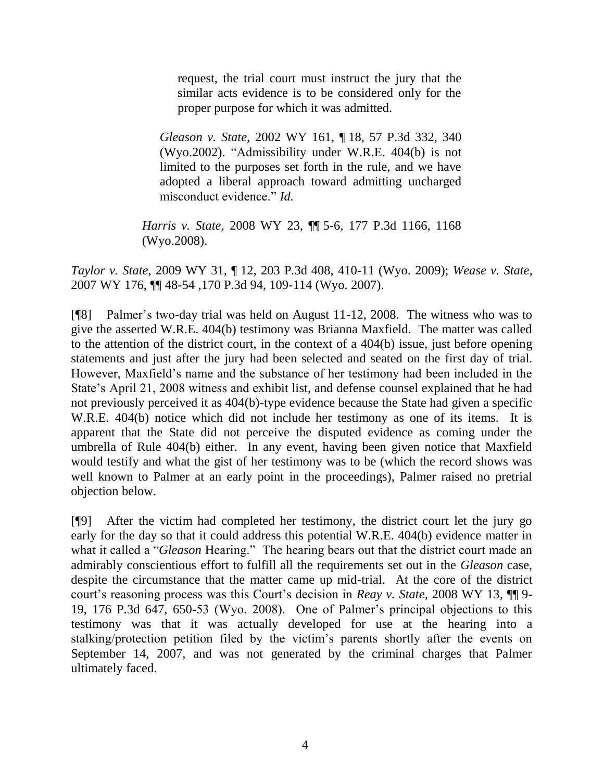request, the trial court must instruct the jury that the similar acts evidence is to be considered only for the proper purpose for which it was admitted.

*[Gleason v. State,](http://www.westlaw.com/Find/Default.wl?rs=dfa1.0&vr=2.0&DB=4645&FindType=Y&ReferencePositionType=S&SerialNum=2002676236&ReferencePosition=340)* 2002 WY 161, ¶ [18, 57 P.3d 332, 340](http://www.westlaw.com/Find/Default.wl?rs=dfa1.0&vr=2.0&DB=4645&FindType=Y&ReferencePositionType=S&SerialNum=2002676236&ReferencePosition=340)  (Wyo.2002). "Admissibility under [W.R.E. 404\(b\)](http://www.westlaw.com/Find/Default.wl?rs=dfa1.0&vr=2.0&DB=1006377&DocName=WYRREVR404&FindType=L) is not limited to the purposes set forth in the rule, and we have adopted a liberal approach toward admitting uncharged misconduct evidence." *[Id.](http://www.westlaw.com/Find/Default.wl?rs=dfa1.0&vr=2.0&FindType=Y&SerialNum=2002676236)*

*[Harris v. State,](http://www.westlaw.com/Find/Default.wl?rs=dfa1.0&vr=2.0&DB=4645&FindType=Y&ReferencePositionType=S&SerialNum=2015385028&ReferencePosition=1168)* 2008 WY 23, ¶¶ [5-6, 177 P.3d 1166, 1168](http://www.westlaw.com/Find/Default.wl?rs=dfa1.0&vr=2.0&DB=4645&FindType=Y&ReferencePositionType=S&SerialNum=2015385028&ReferencePosition=1168)  (Wyo.2008).

*Taylor v. State*, 2009 WY 31, ¶ 12, 203 P.3d 408, 410-11 (Wyo. 2009); *Wease v. State*, 2007 WY 176, ¶¶ 48-54 ,170 P.3d 94, 109-114 (Wyo. 2007).

[¶8] Palmer's two-day trial was held on August 11-12, 2008. The witness who was to give the asserted W.R.E. 404(b) testimony was Brianna Maxfield. The matter was called to the attention of the district court, in the context of a 404(b) issue, just before opening statements and just after the jury had been selected and seated on the first day of trial. However, Maxfield's name and the substance of her testimony had been included in the State's April 21, 2008 witness and exhibit list, and defense counsel explained that he had not previously perceived it as 404(b)-type evidence because the State had given a specific W.R.E. 404(b) notice which did not include her testimony as one of its items. It is apparent that the State did not perceive the disputed evidence as coming under the umbrella of Rule 404(b) either. In any event, having been given notice that Maxfield would testify and what the gist of her testimony was to be (which the record shows was well known to Palmer at an early point in the proceedings), Palmer raised no pretrial objection below.

[¶9] After the victim had completed her testimony, the district court let the jury go early for the day so that it could address this potential W.R.E. 404(b) evidence matter in what it called a "*Gleason* Hearing." The hearing bears out that the district court made an admirably conscientious effort to fulfill all the requirements set out in the *Gleason* case, despite the circumstance that the matter came up mid-trial. At the core of the district court's reasoning process was this Court's decision in *Reay v. State*, 2008 WY 13, ¶¶ 9- 19, 176 P.3d 647, 650-53 (Wyo. 2008). One of Palmer's principal objections to this testimony was that it was actually developed for use at the hearing into a stalking/protection petition filed by the victim's parents shortly after the events on September 14, 2007, and was not generated by the criminal charges that Palmer ultimately faced.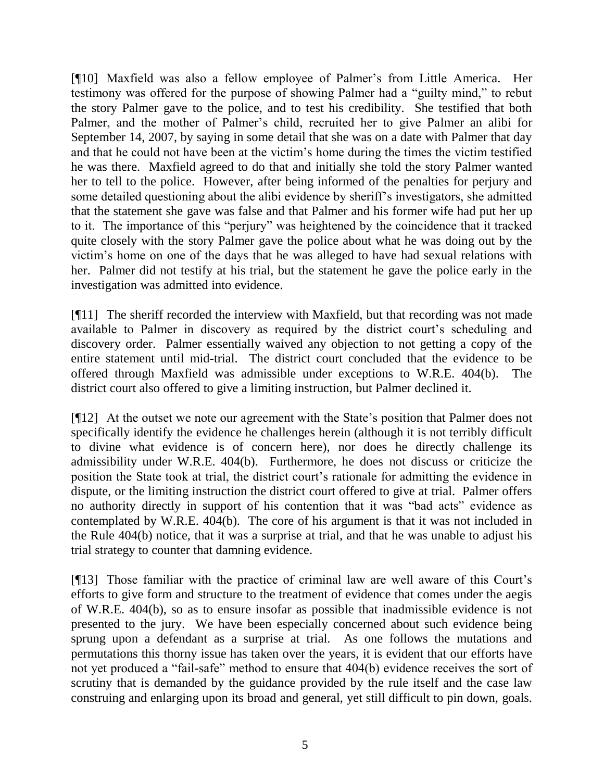[¶10] Maxfield was also a fellow employee of Palmer's from Little America. Her testimony was offered for the purpose of showing Palmer had a "guilty mind," to rebut the story Palmer gave to the police, and to test his credibility. She testified that both Palmer, and the mother of Palmer's child, recruited her to give Palmer an alibi for September 14, 2007, by saying in some detail that she was on a date with Palmer that day and that he could not have been at the victim's home during the times the victim testified he was there. Maxfield agreed to do that and initially she told the story Palmer wanted her to tell to the police. However, after being informed of the penalties for perjury and some detailed questioning about the alibi evidence by sheriff's investigators, she admitted that the statement she gave was false and that Palmer and his former wife had put her up to it. The importance of this "perjury" was heightened by the coincidence that it tracked quite closely with the story Palmer gave the police about what he was doing out by the victim's home on one of the days that he was alleged to have had sexual relations with her. Palmer did not testify at his trial, but the statement he gave the police early in the investigation was admitted into evidence.

[¶11] The sheriff recorded the interview with Maxfield, but that recording was not made available to Palmer in discovery as required by the district court's scheduling and discovery order. Palmer essentially waived any objection to not getting a copy of the entire statement until mid-trial. The district court concluded that the evidence to be offered through Maxfield was admissible under exceptions to W.R.E. 404(b). The district court also offered to give a limiting instruction, but Palmer declined it.

[¶12] At the outset we note our agreement with the State's position that Palmer does not specifically identify the evidence he challenges herein (although it is not terribly difficult to divine what evidence is of concern here), nor does he directly challenge its admissibility under W.R.E. 404(b). Furthermore, he does not discuss or criticize the position the State took at trial, the district court's rationale for admitting the evidence in dispute, or the limiting instruction the district court offered to give at trial. Palmer offers no authority directly in support of his contention that it was "bad acts" evidence as contemplated by W.R.E. 404(b). The core of his argument is that it was not included in the Rule 404(b) notice, that it was a surprise at trial, and that he was unable to adjust his trial strategy to counter that damning evidence.

[¶13] Those familiar with the practice of criminal law are well aware of this Court's efforts to give form and structure to the treatment of evidence that comes under the aegis of W.R.E. 404(b), so as to ensure insofar as possible that inadmissible evidence is not presented to the jury. We have been especially concerned about such evidence being sprung upon a defendant as a surprise at trial. As one follows the mutations and permutations this thorny issue has taken over the years, it is evident that our efforts have not yet produced a "fail-safe" method to ensure that 404(b) evidence receives the sort of scrutiny that is demanded by the guidance provided by the rule itself and the case law construing and enlarging upon its broad and general, yet still difficult to pin down, goals.